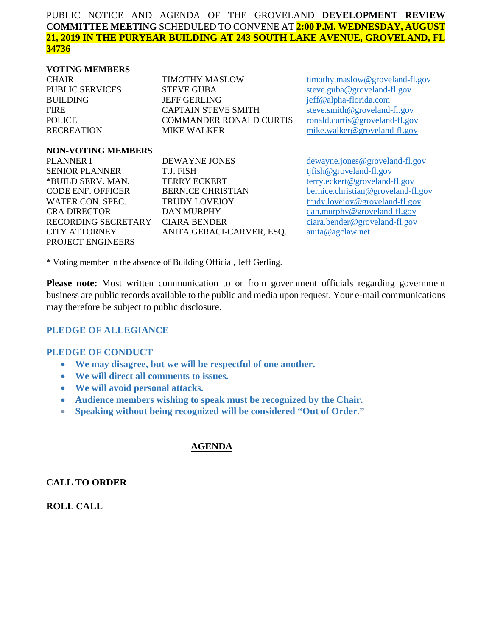### PUBLIC NOTICE AND AGENDA OF THE GROVELAND **DEVELOPMENT REVIEW COMMITTEE MEETING** SCHEDULED TO CONVENE AT **2:00 P.M. WEDNESDAY, AUGUST 21, 2019 IN THE PURYEAR BUILDING AT 243 SOUTH LAKE AVENUE, GROVELAND, FL 34736**

#### **VOTING MEMBERS**

| <b>CHAIR</b>           | <b>TIMOTHY MASLOW</b>          | timoth    |
|------------------------|--------------------------------|-----------|
| <b>PUBLIC SERVICES</b> | <b>STEVE GUBA</b>              | steve.    |
| <b>BUILDING</b>        | <b>JEFF GERLING</b>            | $j$ eff@a |
| <b>FIRE</b>            | <b>CAPTAIN STEVE SMITH</b>     | steve.s   |
| <b>POLICE</b>          | <b>COMMANDER RONALD CURTIS</b> | ronald    |
| <b>RECREATION</b>      | <b>MIKE WALKER</b>             | mike.y    |

y.maslow@groveland-fl.gov PUBLIC SERVICES STEVE GUBA [steve.guba@groveland-fl.gov](mailto:steve.guba@groveland-fl.gov) alpha-florida.com  $\sinth \omega$  groveland-fl.gov .curtis@groveland-fl.gov valker@groveland-fl.gov

#### **NON-VOTING MEMBERS**

| PLANNER I                        | DEWAYNE JONES            |
|----------------------------------|--------------------------|
| SENIOR PLANNER                   | T.J. FISH                |
| *BUILD SERV. MAN.                | <b>TERRY ECKERT</b>      |
| CODE ENF. OFFICER                | <b>BERNICE CHRISTIAN</b> |
| WATER CON. SPEC.                 | <b>TRUDY LOVEJOY</b>     |
| CRA DIRECTOR-                    | <b>DAN MURPHY</b>        |
| RECORDING SECRETARY CIARA BENDER |                          |
| CITY ATTORNEY                    | ANITA GERACI-CARVER, ES  |
| PROJECT ENGINEERS                |                          |
|                                  |                          |

 $d$ ewayne.jones@groveland-fl.gov  $t$ ifish@groveland-fl.gov [terry.eckert@groveland-fl.gov](mailto:terry.eckert@groveland-fl.gov) [bernice.christian@groveland-fl.gov](mailto:bernice.christian@groveland-fl.gov) [trudy.lovejoy@groveland-fl.gov](mailto:trudy.lovejoy@groveland-fl.gov)  $dan.murphy @groveland-fl.gov$ [ciara.bender@groveland-fl.gov](mailto:ciara.bender@groveland-fl.gov) Q. [anita@agclaw.net](mailto:anita@agclaw.net)

\* Voting member in the absence of Building Official, Jeff Gerling.

**Please note:** Most written communication to or from government officials regarding government business are public records available to the public and media upon request. Your e-mail communications may therefore be subject to public disclosure.

## **PLEDGE OF ALLEGIANCE**

#### **PLEDGE OF CONDUCT**

- **We may disagree, but we will be respectful of one another.**
- **We will direct all comments to issues.**
- **We will avoid personal attacks.**
- **Audience members wishing to speak must be recognized by the Chair.**
- **Speaking without being recognized will be considered "Out of Order."**

## **AGENDA**

### **CALL TO ORDER**

**ROLL CALL**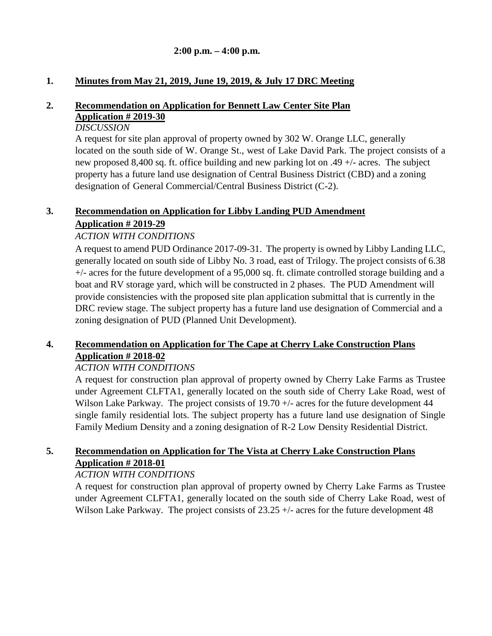## **2:00 p.m. – 4:00 p.m.**

## **1. Minutes from May 21, 2019, June 19, 2019, & July 17 DRC Meeting**

# **2. Recommendation on Application for Bennett Law Center Site Plan Application # 2019-30**

### *DISCUSSION*

A request for site plan approval of property owned by 302 W. Orange LLC, generally located on the south side of W. Orange St., west of Lake David Park. The project consists of a new proposed 8,400 sq. ft. office building and new parking lot on .49 +/- acres. The subject property has a future land use designation of Central Business District (CBD) and a zoning designation of General Commercial/Central Business District (C-2).

# **3. Recommendation on Application for Libby Landing PUD Amendment**

## **Application # 2019-29**

# *ACTION WITH CONDITIONS*

A request to amend PUD Ordinance 2017-09-31. The property is owned by Libby Landing LLC, generally located on south side of Libby No. 3 road, east of Trilogy. The project consists of 6.38 +/- acres for the future development of a 95,000 sq. ft. climate controlled storage building and a boat and RV storage yard, which will be constructed in 2 phases. The PUD Amendment will provide consistencies with the proposed site plan application submittal that is currently in the DRC review stage. The subject property has a future land use designation of Commercial and a zoning designation of PUD (Planned Unit Development).

# **4. Recommendation on Application for The Cape at Cherry Lake Construction Plans Application # 2018-02**

## *ACTION WITH CONDITIONS*

A request for construction plan approval of property owned by Cherry Lake Farms as Trustee under Agreement CLFTA1, generally located on the south side of Cherry Lake Road, west of Wilson Lake Parkway. The project consists of 19.70  $+/-$  acres for the future development 44 single family residential lots. The subject property has a future land use designation of Single Family Medium Density and a zoning designation of R-2 Low Density Residential District.

# **5. Recommendation on Application for The Vista at Cherry Lake Construction Plans Application # 2018-01**

## *ACTION WITH CONDITIONS*

A request for construction plan approval of property owned by Cherry Lake Farms as Trustee under Agreement CLFTA1, generally located on the south side of Cherry Lake Road, west of Wilson Lake Parkway. The project consists of 23.25 +/- acres for the future development 48